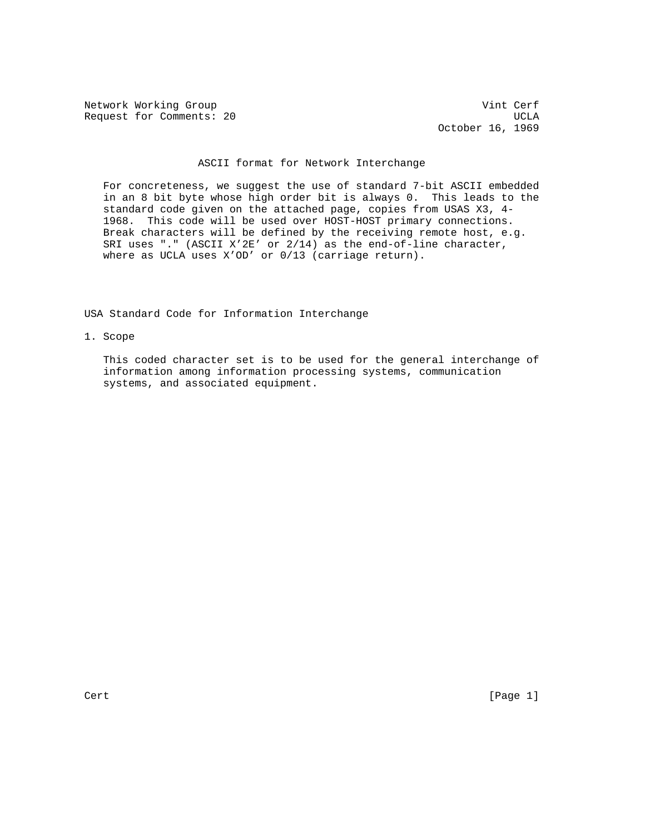Network Working Group vint Cerf Request for Comments: 20 UCLA

October 16, 1969

# ASCII format for Network Interchange

 For concreteness, we suggest the use of standard 7-bit ASCII embedded in an 8 bit byte whose high order bit is always 0. This leads to the standard code given on the attached page, copies from USAS X3, 4- 1968. This code will be used over HOST-HOST primary connections. Break characters will be defined by the receiving remote host, e.g. SRI uses "." (ASCII X'2E' or 2/14) as the end-of-line character, where as UCLA uses X'OD' or 0/13 (carriage return).

USA Standard Code for Information Interchange

1. Scope

 This coded character set is to be used for the general interchange of information among information processing systems, communication systems, and associated equipment.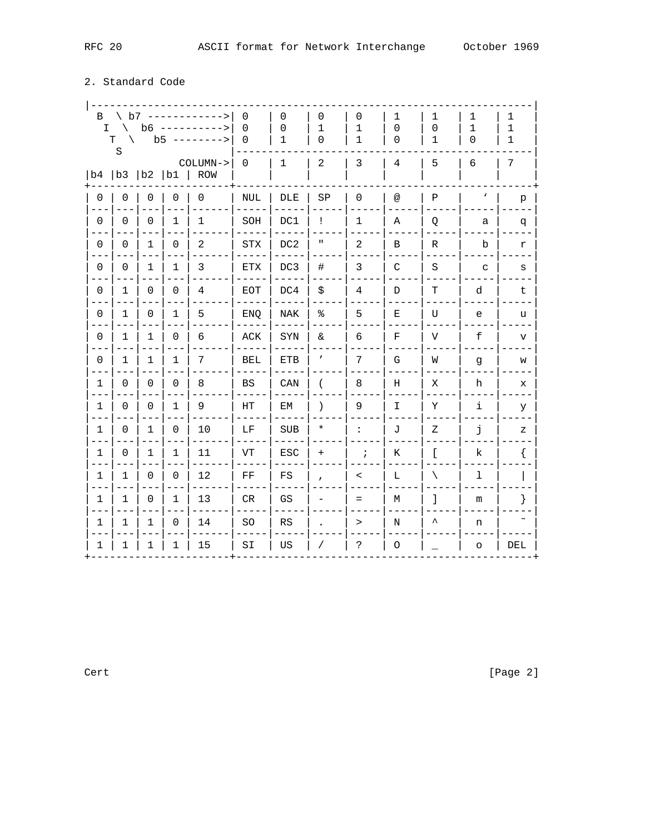# 2. Standard Code

| $\mathbf{B}$      | \ $b7$ ------<br>T<br>N.<br>S |                        |                    | $I \setminus b6$ ---------<br>$\rightarrow$<br>$b5$ --------> | 0<br>$\Omega$<br>0 | 0<br>$\Omega$<br>1        | 0<br>1<br>0          | 0<br>1<br>1          | 1<br>$\mathbf{0}$<br>0 | 1<br>$\mathbf 0$<br>1 | 1<br>1<br>0 | 1<br>1<br>1  |
|-------------------|-------------------------------|------------------------|--------------------|---------------------------------------------------------------|--------------------|---------------------------|----------------------|----------------------|------------------------|-----------------------|-------------|--------------|
|                   |                               |                        |                    | $COLUMN->$<br>$b4$ $b3$ $b2$ $b1$ $ROW$                       | 0                  | $\mathbf{1}$              | $\overline{2}$       | 3                    | $\overline{4}$         | 5                     | 6           | 7            |
| 0<br>$- -$        | $\mathbf 0$                   | $\mathbf 0$<br>$- - -$ | $\mathbf 0$        | $\mathbf 0$                                                   | NUL                | DLE                       | SP                   | $\mathbf 0$          | $^{\copyright}$        | $\mathbf P$           | $\sqrt{ }$  | $\mathbf{p}$ |
| $\Omega$<br>$---$ | $\Omega$<br>$- - -$           | 0<br>$---$             | 1<br>$- - -$       | 1                                                             | SOH<br>$- - - - -$ | DC1<br>$- - - - -$        | 1<br>$ -$            | 1                    | Α<br>-----             | Q<br>$- - - -$        | a           | q            |
| $\Omega$<br>$--$  | 0<br>$---$                    | 1<br>$- -$             | 0<br>$---$         | 2                                                             | <b>STX</b>         | DC <sub>2</sub><br>$  -$  | л                    | 2                    | B<br>-----             | R                     | b           | r            |
| $\Omega$          | $\Omega$                      | 1                      | 1                  | 3                                                             | ETX                | DC3                       | $\#$                 | 3                    | $\mathcal{C}$          | S                     | C           | S            |
| $- -$<br>0        | 1                             | 0                      | 0                  | 4                                                             | EOT                | DC4                       | \$                   | 4                    | D                      | т                     | d           | t            |
| $\Omega$          | $\mathbf{1}$                  | $\Omega$               | $\mathbf{1}$       | 5                                                             | ENQ                | NAK                       | ఄ                    | 5                    | Е                      | U                     | e           | u            |
| $\mathbf 0$       | 1                             | 1                      | 0                  | 6                                                             | ACK                | SYN                       | &                    | 6                    | F                      | V                     | $\mathbf f$ | $\mathbf v$  |
| $\mathbf 0$       | 1                             | $\mathbf 1$            | $\mathbf{1}$       | 7                                                             | BEL                | ETB                       | $\pmb{r}$            | 7                    | ${\mathbf G}$          | M                     | g           | W            |
| $\mathbf{1}$      | $\Omega$                      | $\mathbf 0$            | $\mathbf 0$        | 8                                                             | <b>BS</b>          | CAN                       | $\left($             | 8                    | H                      | X                     | h           | X            |
| $- -$<br>1        | $\Omega$                      | $\Omega$               | $\mathbf{1}$       | 9                                                             | HT                 | ЕM                        | $\lambda$            | 9                    | I                      | Υ                     | i           | У            |
| $- - -$<br>1      | $---$<br>$\Omega$             | $---$<br>1             | $\frac{1}{2}$<br>0 | 10                                                            | -----<br>LF        | $- - - - -$<br><b>SUB</b> | $^\star$             | $\ddot{\phantom{a}}$ | -----<br>J             | Ζ                     | j.          | Ζ            |
| ---<br>1          | 0                             | 1                      | 1                  | 11                                                            | <b>VT</b>          | $- - -$<br>ESC            | $+$                  | $\ddot{i}$           | Κ                      | $\lceil$              | k           |              |
| $- -$<br>1        | 1                             | $\Omega$               | 0                  | 12                                                            | FF                 | FS                        | $\overline{ }$       | $\,<\,$              | L                      |                       | ı           |              |
| 1                 | 1                             | $\Omega$               | 1                  | 13                                                            | CR                 | GS                        |                      | $\equiv$             | М                      | -1                    | m           |              |
| 1                 | 1                             | 1                      | 0                  | 14                                                            | SO                 | RS                        |                      | $\, >$               | $\rm N$                | $\blacktriangle$      | n           |              |
| 1                 | 1                             | 1                      | 1                  | 15                                                            | $\mathtt{SI}$      | US                        | $\sqrt{\phantom{a}}$ | ?                    | $\circ$                |                       | O           | DEL          |

[Page 2]

Cert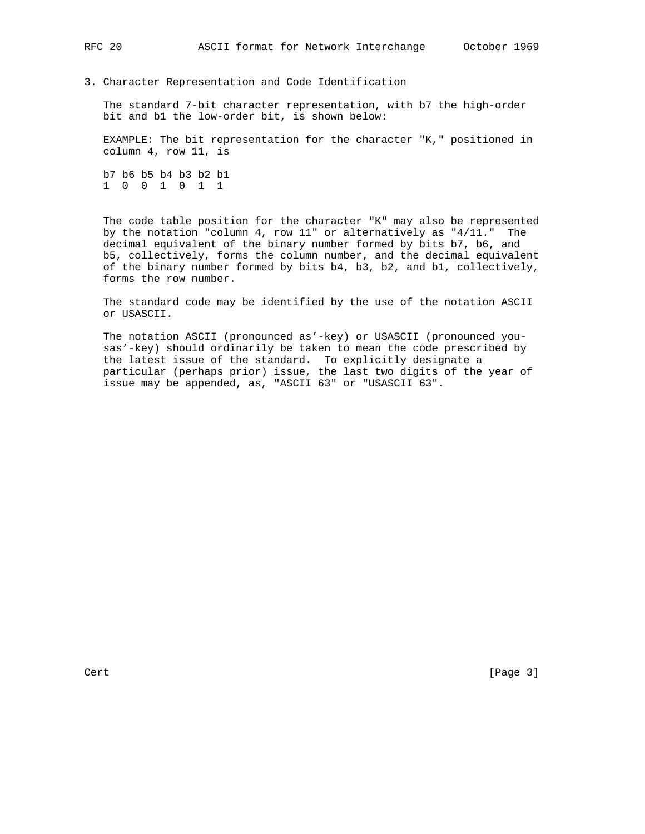- 
- 3. Character Representation and Code Identification

 The standard 7-bit character representation, with b7 the high-order bit and b1 the low-order bit, is shown below:

 EXAMPLE: The bit representation for the character "K," positioned in column 4, row 11, is

 b7 b6 b5 b4 b3 b2 b1 1 0 0 1 0 1 1

 The code table position for the character "K" may also be represented by the notation "column 4, row 11" or alternatively as "4/11." The decimal equivalent of the binary number formed by bits b7, b6, and b5, collectively, forms the column number, and the decimal equivalent of the binary number formed by bits b4, b3, b2, and b1, collectively, forms the row number.

 The standard code may be identified by the use of the notation ASCII or USASCII.

 The notation ASCII (pronounced as'-key) or USASCII (pronounced you sas'-key) should ordinarily be taken to mean the code prescribed by the latest issue of the standard. To explicitly designate a particular (perhaps prior) issue, the last two digits of the year of issue may be appended, as, "ASCII 63" or "USASCII 63".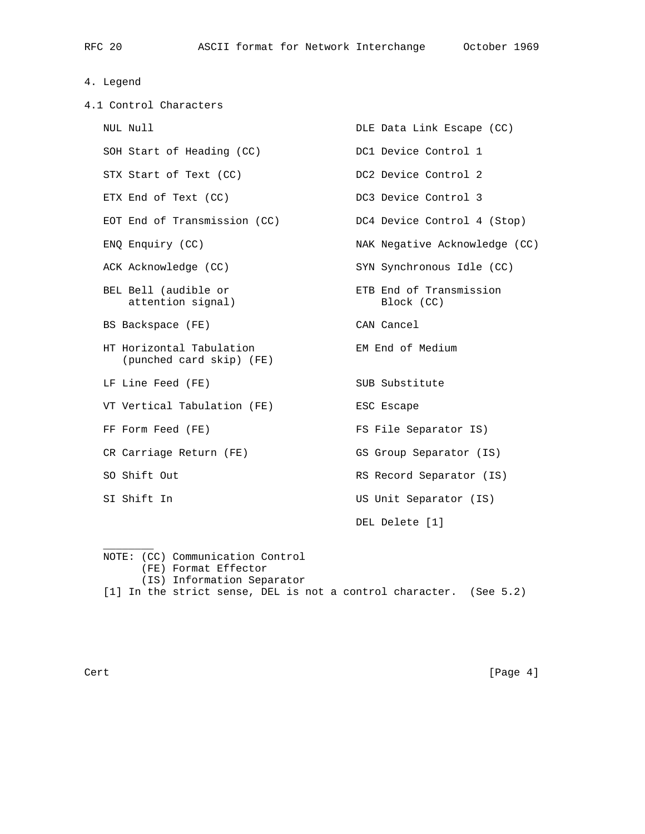4. Legend 4.1 Control Characters NUL Null DLE Data Link Escape (CC) SOH Start of Heading (CC) DC1 Device Control 1 STX Start of Text (CC) DC2 Device Control 2 ETX End of Text (CC) DC3 Device Control 3 EOT End of Transmission (CC) DC4 Device Control 4 (Stop) ENQ Enquiry (CC) NAK Negative Acknowledge (CC) ACK Acknowledge (CC) SYN Synchronous Idle (CC) BEL Bell (audible or  $ETB$  ETB End of Transmission attention signal) Block (CC) BS Backspace (FE) CAN Cancel HT Horizontal Tabulation EM End of Medium (punched card skip) (FE) LF Line Feed (FE) SUB Substitute VT Vertical Tabulation (FE) ESC Escape FF Form Feed (FE) FS File Separator IS) CR Carriage Return (FE) GS Group Separator (IS) SO Shift Out **RS** Record Separator (IS) SI Shift In US Unit Separator (IS) DEL Delete [1]

 NOTE: (CC) Communication Control (FE) Format Effector (IS) Information Separator [1] In the strict sense, DEL is not a control character. (See 5.2)

 $\frac{1}{\sqrt{2}}$ 

Cert [Page 4]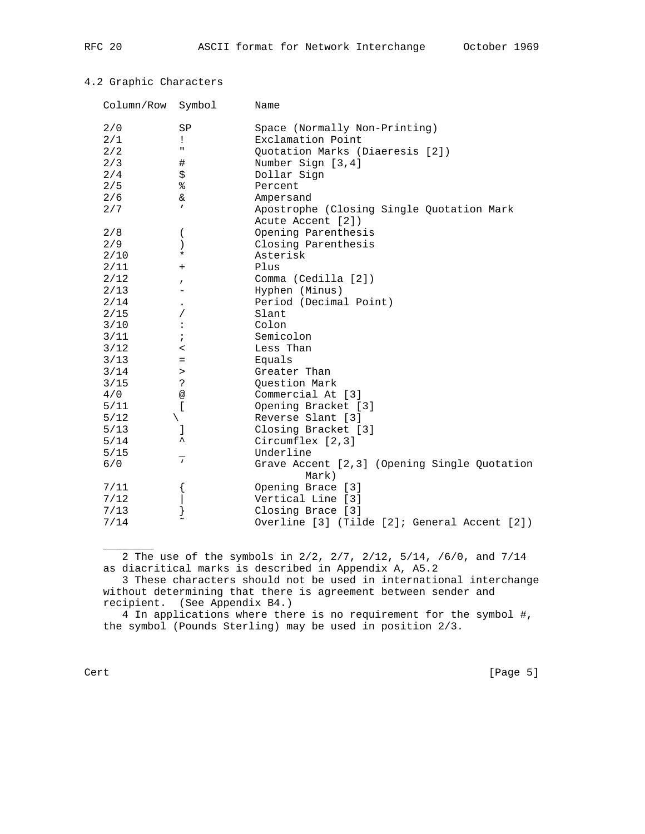# 4.2 Graphic Characters

| Column/Row | Symbol               | Name                                                  |
|------------|----------------------|-------------------------------------------------------|
| 2/0        | <b>SP</b>            | Space (Normally Non-Printing)                         |
| 2/1        | Ţ                    | Exclamation Point                                     |
| 2/2        | $\mathbf H$          | Quotation Marks (Diaeresis [2])                       |
| 2/3        | $\#$                 | Number Sign [3,4]                                     |
| 2/4        | \$                   | Dollar Sign                                           |
| 2/5        | %                    | Percent                                               |
| 2/6        | $\delta$             | Ampersand                                             |
| 2/7        | $\pmb{r}$            | Apostrophe (Closing Single Quotation Mark             |
|            |                      | Acute Accent [2])                                     |
| 2/8        | $\left($             | Opening Parenthesis                                   |
| 2/9        | $\lambda$            | Closing Parenthesis                                   |
| 2/10       | $\star$              | Asterisk                                              |
| 2/11       | $+$                  | Plus                                                  |
| 2/12       | $\mathbf{r}$         | Comma (Cedilla [2])                                   |
| 2/13       |                      | Hyphen (Minus)                                        |
| 2/14       |                      | Period (Decimal Point)                                |
| 2/15       | Τ                    | Slant                                                 |
| 3/10       |                      | Colon                                                 |
| 3/11       | $\ddot{i}$           | Semicolon                                             |
| 3/12       | $\,<\,$              | Less Than                                             |
| 3/13       | $=$                  | Equals                                                |
| 3/14       | $\, > \,$            | Greater Than                                          |
| 3/15       | $\ddot{\phantom{0}}$ | Ouestion Mark                                         |
| 4/0        | @                    | Commercial At [3]                                     |
| 5/11       | $\Gamma$             | Opening Bracket [3]                                   |
| 5/12       |                      | Reverse Slant [3]                                     |
| 5/13       | 1                    | Closing Bracket [3]                                   |
| 5/14       | $\hat{\phantom{a}}$  | Circumflex [2,3]                                      |
| 5/15       |                      | Underline                                             |
| 6/0        | $\mathbf{v}$         | Grave Accent [2,3] (Opening Single Quotation<br>Mark) |
| 7/11       |                      | Opening Brace [3]                                     |
| 7/12       |                      | Vertical Line [3]                                     |
| 7/13       |                      | Closing Brace [3]                                     |
| 7/14       |                      | Overline [3] (Tilde [2]; General Accent [2])          |
|            |                      |                                                       |

 2 The use of the symbols in 2/2, 2/7, 2/12, 5/14, /6/0, and 7/14 as diacritical marks is described in Appendix A, A5.2

 3 These characters should not be used in international interchange without determining that there is agreement between sender and recipient. (See Appendix B4.)

 $\frac{1}{\sqrt{2}}$ 

 <sup>4</sup> In applications where there is no requirement for the symbol #, the symbol (Pounds Sterling) may be used in position 2/3.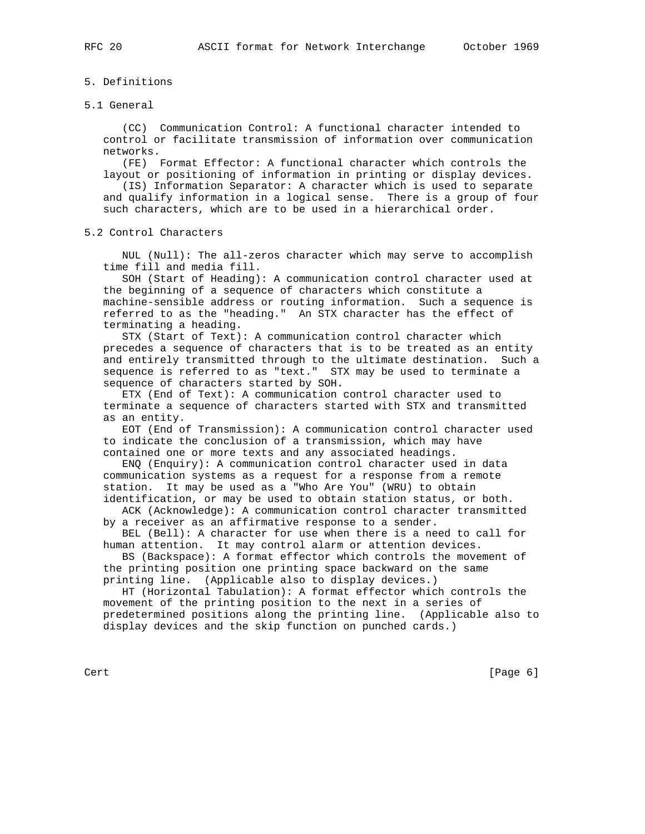#### 5. Definitions

#### 5.1 General

 (CC) Communication Control: A functional character intended to control or facilitate transmission of information over communication networks.

 (FE) Format Effector: A functional character which controls the layout or positioning of information in printing or display devices.

 (IS) Information Separator: A character which is used to separate and qualify information in a logical sense. There is a group of four such characters, which are to be used in a hierarchical order.

# 5.2 Control Characters

 NUL (Null): The all-zeros character which may serve to accomplish time fill and media fill.

 SOH (Start of Heading): A communication control character used at the beginning of a sequence of characters which constitute a machine-sensible address or routing information. Such a sequence is referred to as the "heading." An STX character has the effect of terminating a heading.

 STX (Start of Text): A communication control character which precedes a sequence of characters that is to be treated as an entity and entirely transmitted through to the ultimate destination. Such a sequence is referred to as "text." STX may be used to terminate a sequence of characters started by SOH.

 ETX (End of Text): A communication control character used to terminate a sequence of characters started with STX and transmitted as an entity.

 EOT (End of Transmission): A communication control character used to indicate the conclusion of a transmission, which may have contained one or more texts and any associated headings.

 ENQ (Enquiry): A communication control character used in data communication systems as a request for a response from a remote station. It may be used as a "Who Are You" (WRU) to obtain identification, or may be used to obtain station status, or both.

 ACK (Acknowledge): A communication control character transmitted by a receiver as an affirmative response to a sender.

 BEL (Bell): A character for use when there is a need to call for human attention. It may control alarm or attention devices.

 BS (Backspace): A format effector which controls the movement of the printing position one printing space backward on the same printing line. (Applicable also to display devices.)

 HT (Horizontal Tabulation): A format effector which controls the movement of the printing position to the next in a series of predetermined positions along the printing line. (Applicable also to display devices and the skip function on punched cards.)

Cert [Page 6]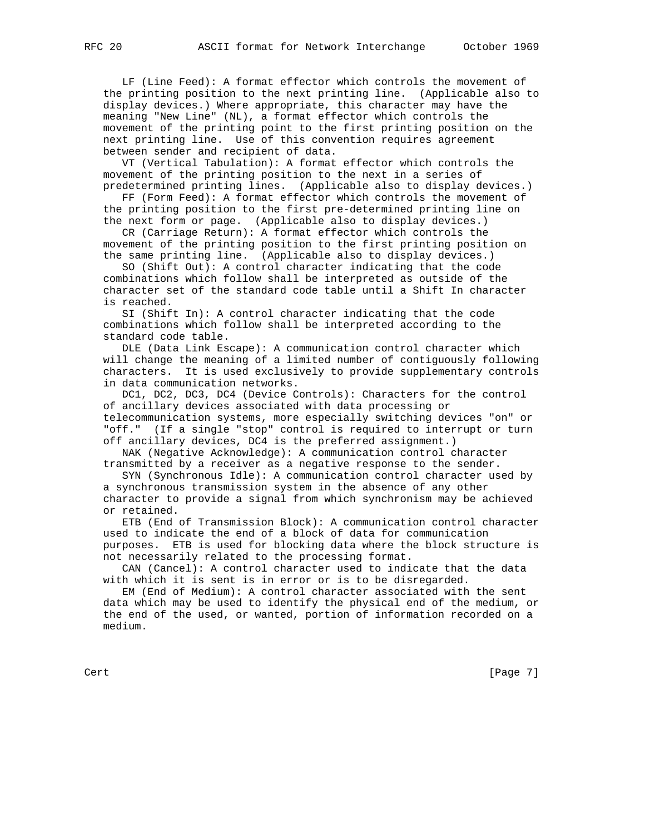LF (Line Feed): A format effector which controls the movement of the printing position to the next printing line. (Applicable also to display devices.) Where appropriate, this character may have the meaning "New Line" (NL), a format effector which controls the movement of the printing point to the first printing position on the next printing line. Use of this convention requires agreement between sender and recipient of data.

 VT (Vertical Tabulation): A format effector which controls the movement of the printing position to the next in a series of predetermined printing lines. (Applicable also to display devices.)

 FF (Form Feed): A format effector which controls the movement of the printing position to the first pre-determined printing line on the next form or page. (Applicable also to display devices.)

 CR (Carriage Return): A format effector which controls the movement of the printing position to the first printing position on the same printing line. (Applicable also to display devices.)

 SO (Shift Out): A control character indicating that the code combinations which follow shall be interpreted as outside of the character set of the standard code table until a Shift In character is reached.

 SI (Shift In): A control character indicating that the code combinations which follow shall be interpreted according to the standard code table.

 DLE (Data Link Escape): A communication control character which will change the meaning of a limited number of contiguously following characters. It is used exclusively to provide supplementary controls in data communication networks.

 DC1, DC2, DC3, DC4 (Device Controls): Characters for the control of ancillary devices associated with data processing or telecommunication systems, more especially switching devices "on" or "off." (If a single "stop" control is required to interrupt or turn off ancillary devices, DC4 is the preferred assignment.)

 NAK (Negative Acknowledge): A communication control character transmitted by a receiver as a negative response to the sender.

 SYN (Synchronous Idle): A communication control character used by a synchronous transmission system in the absence of any other character to provide a signal from which synchronism may be achieved or retained.

 ETB (End of Transmission Block): A communication control character used to indicate the end of a block of data for communication purposes. ETB is used for blocking data where the block structure is not necessarily related to the processing format.

 CAN (Cancel): A control character used to indicate that the data with which it is sent is in error or is to be disregarded.

 EM (End of Medium): A control character associated with the sent data which may be used to identify the physical end of the medium, or the end of the used, or wanted, portion of information recorded on a medium.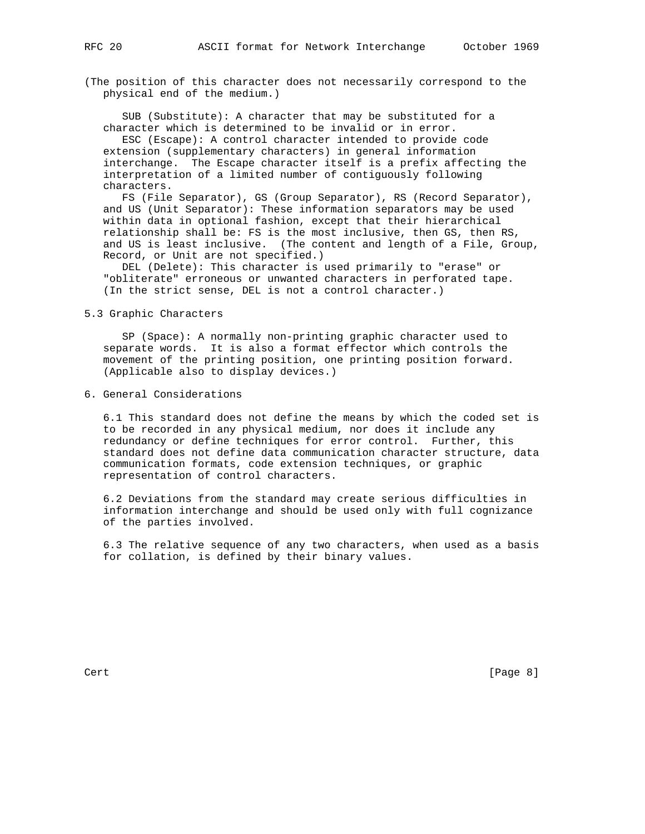(The position of this character does not necessarily correspond to the physical end of the medium.)

 SUB (Substitute): A character that may be substituted for a character which is determined to be invalid or in error.

 ESC (Escape): A control character intended to provide code extension (supplementary characters) in general information interchange. The Escape character itself is a prefix affecting the interpretation of a limited number of contiguously following characters.

 FS (File Separator), GS (Group Separator), RS (Record Separator), and US (Unit Separator): These information separators may be used within data in optional fashion, except that their hierarchical relationship shall be: FS is the most inclusive, then GS, then RS, and US is least inclusive. (The content and length of a File, Group, Record, or Unit are not specified.)

 DEL (Delete): This character is used primarily to "erase" or "obliterate" erroneous or unwanted characters in perforated tape. (In the strict sense, DEL is not a control character.)

5.3 Graphic Characters

 SP (Space): A normally non-printing graphic character used to separate words. It is also a format effector which controls the movement of the printing position, one printing position forward. (Applicable also to display devices.)

# 6. General Considerations

 6.1 This standard does not define the means by which the coded set is to be recorded in any physical medium, nor does it include any redundancy or define techniques for error control. Further, this standard does not define data communication character structure, data communication formats, code extension techniques, or graphic representation of control characters.

 6.2 Deviations from the standard may create serious difficulties in information interchange and should be used only with full cognizance of the parties involved.

 6.3 The relative sequence of any two characters, when used as a basis for collation, is defined by their binary values.

Cert [Page 8]